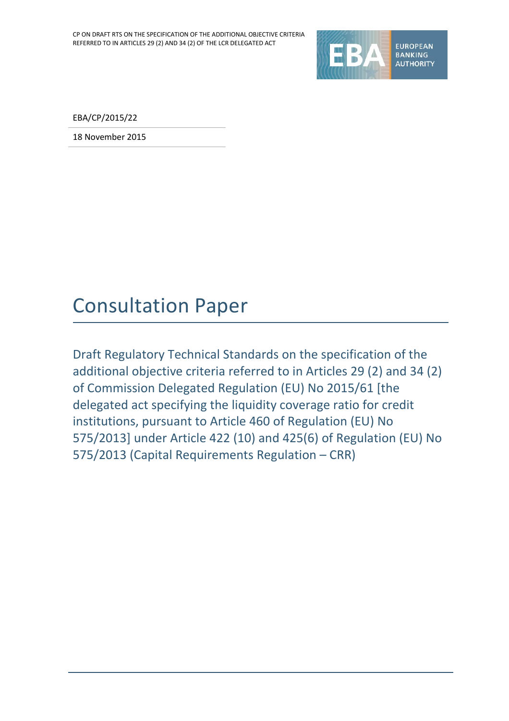

EBA/CP/2015/22

18 November 2015

# Consultation Paper

Draft Regulatory Technical Standards on the specification of the additional objective criteria referred to in Articles 29 (2) and 34 (2) of Commission Delegated Regulation (EU) No 2015/61 [the delegated act specifying the liquidity coverage ratio for credit institutions, pursuant to Article 460 of Regulation (EU) No 575/2013] under Article 422 (10) and 425(6) of Regulation (EU) No 575/2013 (Capital Requirements Regulation – CRR)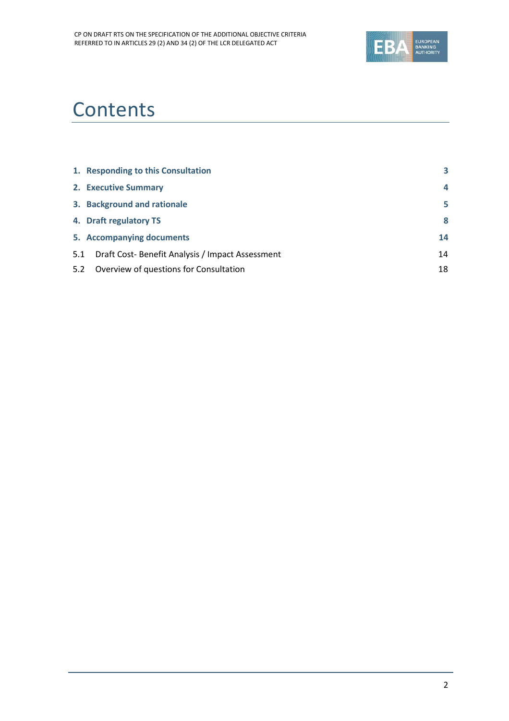

# **Contents**

|     | 1. Responding to this Consultation              | 3  |
|-----|-------------------------------------------------|----|
|     | 2. Executive Summary                            | 4  |
|     | 3. Background and rationale                     | 5  |
|     | 4. Draft regulatory TS                          | 8  |
|     | 5. Accompanying documents                       | 14 |
| 5.1 | Draft Cost-Benefit Analysis / Impact Assessment | 14 |
| 5.2 | Overview of questions for Consultation          | 18 |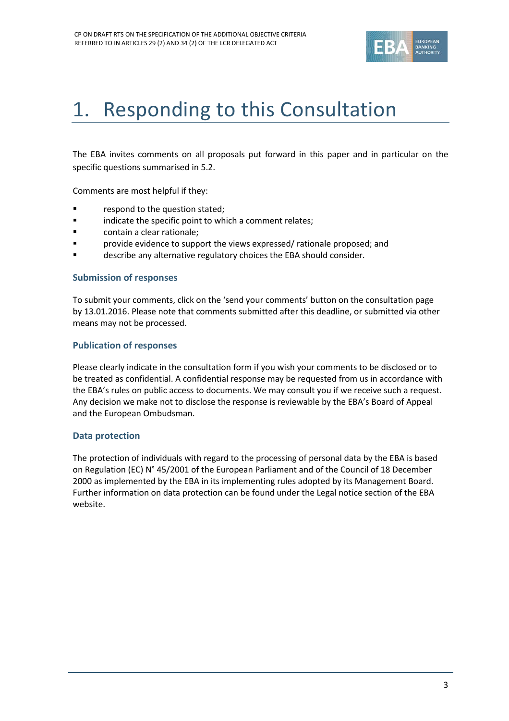

# <span id="page-2-0"></span>1. Responding to this Consultation

The EBA invites comments on all proposals put forward in this paper and in particular on the specific questions summarised in 5.2.

Comments are most helpful if they:

- respond to the question stated;
- **Example 3** indicate the specific point to which a comment relates;
- contain a clear rationale;
- provide evidence to support the views expressed/ rationale proposed; and
- describe any alternative regulatory choices the EBA should consider.

#### **Submission of responses**

To submit your comments, click on the 'send your comments' button on the consultation page by 13.01.2016. Please note that comments submitted after this deadline, or submitted via other means may not be processed.

#### **Publication of responses**

Please clearly indicate in the consultation form if you wish your comments to be disclosed or to be treated as confidential. A confidential response may be requested from us in accordance with the EBA's rules on public access to documents. We may consult you if we receive such a request. Any decision we make not to disclose the response is reviewable by the EBA's Board of Appeal and the European Ombudsman.

#### **Data protection**

The protection of individuals with regard to the processing of personal data by the EBA is based on Regulation (EC) N° 45/2001 of the European Parliament and of the Council of 18 December 2000 as implemented by the EBA in its implementing rules adopted by its Management Board. Further information on data protection can be found under the [Legal notice section](http://eba.europa.eu/legal-notice) of the EBA website.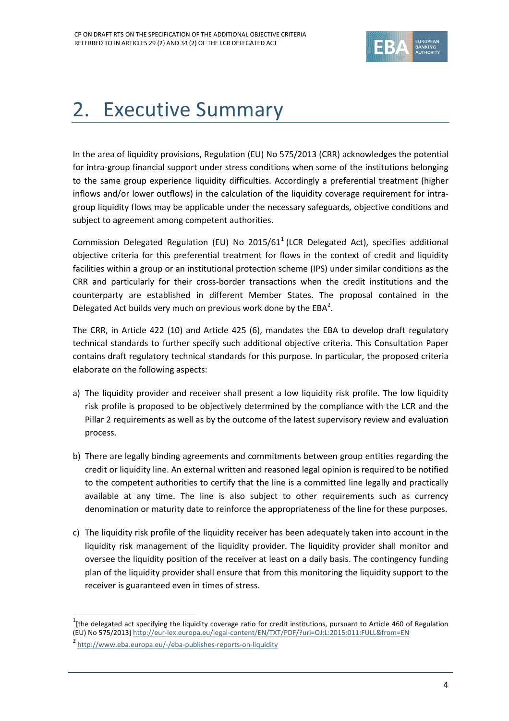

# <span id="page-3-0"></span>2. Executive Summary

In the area of liquidity provisions, Regulation (EU) No 575/2013 (CRR) acknowledges the potential for intra-group financial support under stress conditions when some of the institutions belonging to the same group experience liquidity difficulties. Accordingly a preferential treatment (higher inflows and/or lower outflows) in the calculation of the liquidity coverage requirement for intragroup liquidity flows may be applicable under the necessary safeguards, objective conditions and subject to agreement among competent authorities.

Commission Delegated Regulation (EU) No 20[1](#page-3-1)5/61<sup>1</sup> (LCR Delegated Act), specifies additional objective criteria for this preferential treatment for flows in the context of credit and liquidity facilities within a group or an institutional protection scheme (IPS) under similar conditions as the CRR and particularly for their cross-border transactions when the credit institutions and the counterparty are established in different Member States. The proposal contained in the Delegated Act builds very much on previous work done by the  $EBA^2$  $EBA^2$ .

The CRR, in Article 422 (10) and Article 425 (6), mandates the EBA to develop draft regulatory technical standards to further specify such additional objective criteria. This Consultation Paper contains draft regulatory technical standards for this purpose. In particular, the proposed criteria elaborate on the following aspects:

- a) The liquidity provider and receiver shall present a low liquidity risk profile. The low liquidity risk profile is proposed to be objectively determined by the compliance with the LCR and the Pillar 2 requirements as well as by the outcome of the latest supervisory review and evaluation process.
- b) There are legally binding agreements and commitments between group entities regarding the credit or liquidity line. An external written and reasoned legal opinion is required to be notified to the competent authorities to certify that the line is a committed line legally and practically available at any time. The line is also subject to other requirements such as currency denomination or maturity date to reinforce the appropriateness of the line for these purposes.
- c) The liquidity risk profile of the liquidity receiver has been adequately taken into account in the liquidity risk management of the liquidity provider. The liquidity provider shall monitor and oversee the liquidity position of the receiver at least on a daily basis. The contingency funding plan of the liquidity provider shall ensure that from this monitoring the liquidity support to the receiver is guaranteed even in times of stress.

 $\overline{a}$ 

<span id="page-3-1"></span> $1$ [the delegated act specifying the liquidity coverage ratio for credit institutions, pursuant to Article 460 of Regulation (EU) No 575/2013] <http://eur-lex.europa.eu/legal-content/EN/TXT/PDF/?uri=OJ:L:2015:011:FULL&from=EN>

<span id="page-3-2"></span><sup>2</sup> <http://www.eba.europa.eu/-/eba-publishes-reports-on-liquidity>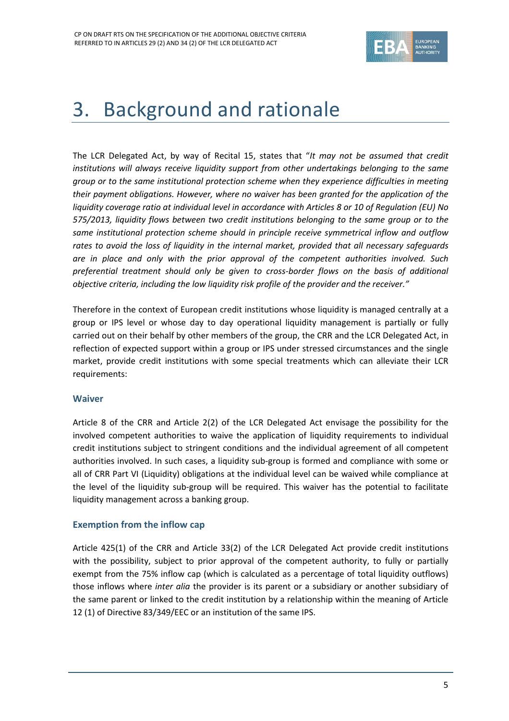

# <span id="page-4-0"></span>3. Background and rationale

The LCR Delegated Act, by way of Recital 15, states that "*It may not be assumed that credit institutions will always receive liquidity support from other undertakings belonging to the same group or to the same institutional protection scheme when they experience difficulties in meeting their payment obligations. However, where no waiver has been granted for the application of the liquidity coverage ratio at individual level in accordance with Articles 8 or 10 of Regulation (EU) No 575/2013, liquidity flows between two credit institutions belonging to the same group or to the same institutional protection scheme should in principle receive symmetrical inflow and outflow rates to avoid the loss of liquidity in the internal market, provided that all necessary safeguards are in place and only with the prior approval of the competent authorities involved. Such preferential treatment should only be given to cross-border flows on the basis of additional objective criteria, including the low liquidity risk profile of the provider and the receiver."*

Therefore in the context of European credit institutions whose liquidity is managed centrally at a group or IPS level or whose day to day operational liquidity management is partially or fully carried out on their behalf by other members of the group, the CRR and the LCR Delegated Act, in reflection of expected support within a group or IPS under stressed circumstances and the single market, provide credit institutions with some special treatments which can alleviate their LCR requirements:

#### **Waiver**

Article 8 of the CRR and Article 2(2) of the LCR Delegated Act envisage the possibility for the involved competent authorities to waive the application of liquidity requirements to individual credit institutions subject to stringent conditions and the individual agreement of all competent authorities involved. In such cases, a liquidity sub-group is formed and compliance with some or all of CRR Part VI (Liquidity) obligations at the individual level can be waived while compliance at the level of the liquidity sub-group will be required. This waiver has the potential to facilitate liquidity management across a banking group.

#### **Exemption from the inflow cap**

Article 425(1) of the CRR and Article 33(2) of the LCR Delegated Act provide credit institutions with the possibility, subject to prior approval of the competent authority, to fully or partially exempt from the 75% inflow cap (which is calculated as a percentage of total liquidity outflows) those inflows where *inter alia* the provider is its parent or a subsidiary or another subsidiary of the same parent or linked to the credit institution by a relationship within the meaning of Article 12 (1) of Directive 83/349/EEC or an institution of the same IPS.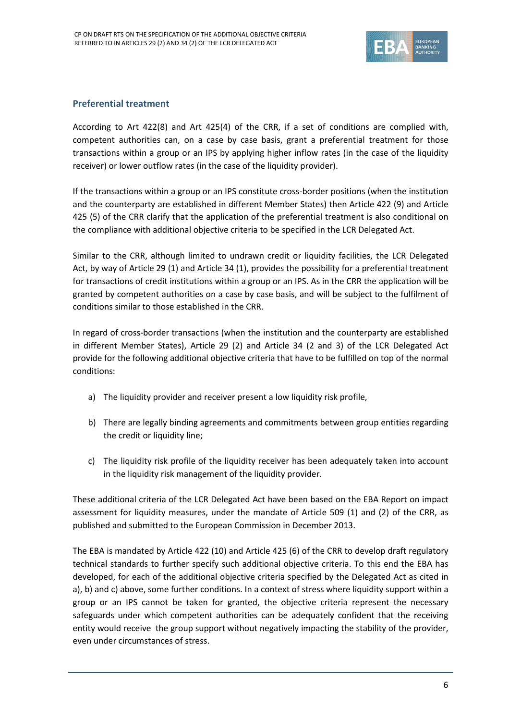

#### **Preferential treatment**

According to Art 422(8) and Art 425(4) of the CRR, if a set of conditions are complied with, competent authorities can, on a case by case basis, grant a preferential treatment for those transactions within a group or an IPS by applying higher inflow rates (in the case of the liquidity receiver) or lower outflow rates (in the case of the liquidity provider).

If the transactions within a group or an IPS constitute cross-border positions (when the institution and the counterparty are established in different Member States) then Article 422 (9) and Article 425 (5) of the CRR clarify that the application of the preferential treatment is also conditional on the compliance with additional objective criteria to be specified in the LCR Delegated Act.

Similar to the CRR, although limited to undrawn credit or liquidity facilities, the LCR Delegated Act, by way of Article 29 (1) and Article 34 (1), provides the possibility for a preferential treatment for transactions of credit institutions within a group or an IPS. As in the CRR the application will be granted by competent authorities on a case by case basis, and will be subject to the fulfilment of conditions similar to those established in the CRR.

In regard of cross-border transactions (when the institution and the counterparty are established in different Member States), Article 29 (2) and Article 34 (2 and 3) of the LCR Delegated Act provide for the following additional objective criteria that have to be fulfilled on top of the normal conditions:

- a) The liquidity provider and receiver present a low liquidity risk profile,
- b) There are legally binding agreements and commitments between group entities regarding the credit or liquidity line;
- c) The liquidity risk profile of the liquidity receiver has been adequately taken into account in the liquidity risk management of the liquidity provider.

These additional criteria of the LCR Delegated Act have been based on the EBA Report on impact assessment for liquidity measures, under the mandate of Article 509 (1) and (2) of the CRR, as published and submitted to the European Commission in December 2013.

The EBA is mandated by Article 422 (10) and Article 425 (6) of the CRR to develop draft regulatory technical standards to further specify such additional objective criteria. To this end the EBA has developed, for each of the additional objective criteria specified by the Delegated Act as cited in a), b) and c) above, some further conditions. In a context of stress where liquidity support within a group or an IPS cannot be taken for granted, the objective criteria represent the necessary safeguards under which competent authorities can be adequately confident that the receiving entity would receive the group support without negatively impacting the stability of the provider, even under circumstances of stress.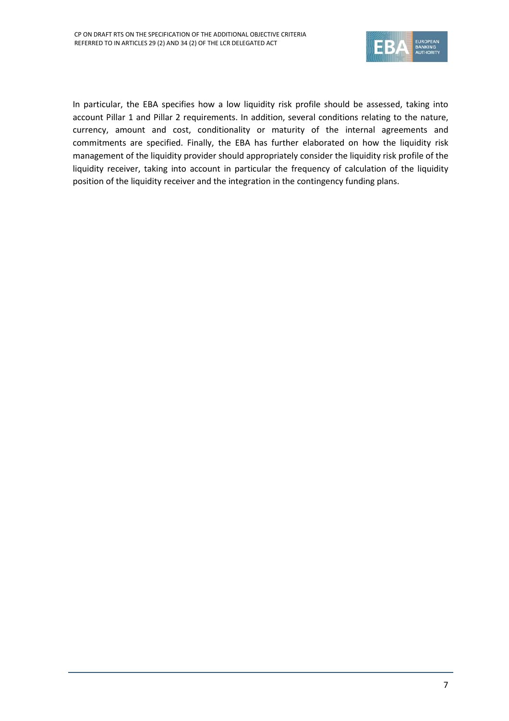

In particular, the EBA specifies how a low liquidity risk profile should be assessed, taking into account Pillar 1 and Pillar 2 requirements. In addition, several conditions relating to the nature, currency, amount and cost, conditionality or maturity of the internal agreements and commitments are specified. Finally, the EBA has further elaborated on how the liquidity risk management of the liquidity provider should appropriately consider the liquidity risk profile of the liquidity receiver, taking into account in particular the frequency of calculation of the liquidity position of the liquidity receiver and the integration in the contingency funding plans.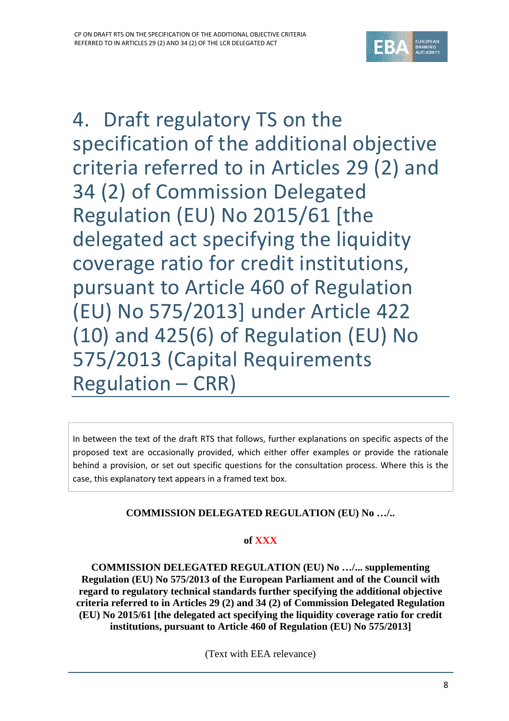

<span id="page-7-0"></span>4. Draft regulatory TS on the specification of the additional objective criteria referred to in Articles 29 (2) and 34 (2) of Commission Delegated Regulation (EU) No 2015/61 [the delegated act specifying the liquidity coverage ratio for credit institutions, pursuant to Article 460 of Regulation (EU) No 575/2013] under Article 422 (10) and 425(6) of Regulation (EU) No 575/2013 (Capital Requirements Regulation – CRR)

In between the text of the draft RTS that follows, further explanations on specific aspects of the proposed text are occasionally provided, which either offer examples or provide the rationale behind a provision, or set out specific questions for the consultation process. Where this is the case, this explanatory text appears in a framed text box.

# **COMMISSION DELEGATED REGULATION (EU) No …/..**

# **of XXX**

**COMMISSION DELEGATED REGULATION (EU) No …/... supplementing Regulation (EU) No 575/2013 of the European Parliament and of the Council with regard to regulatory technical standards further specifying the additional objective criteria referred to in Articles 29 (2) and 34 (2) of Commission Delegated Regulation (EU) No 2015/61 [the delegated act specifying the liquidity coverage ratio for credit institutions, pursuant to Article 460 of Regulation (EU) No 575/2013]**

(Text with EEA relevance)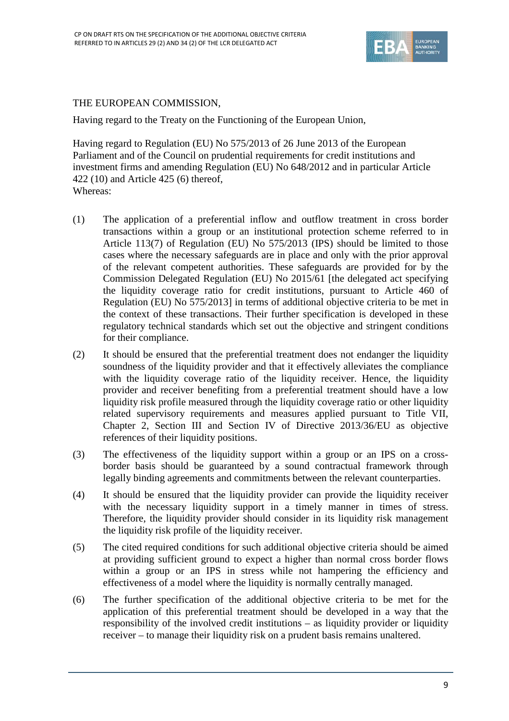

## THE EUROPEAN COMMISSION,

Having regard to the Treaty on the Functioning of the European Union,

Having regard to Regulation (EU) No 575/2013 of 26 June 2013 of the European Parliament and of the Council on prudential requirements for credit institutions and investment firms and amending Regulation (EU) No 648/2012 and in particular Article 422 (10) and Article 425 (6) thereof, Whereas:

- (1) The application of a preferential inflow and outflow treatment in cross border transactions within a group or an institutional protection scheme referred to in Article 113(7) of Regulation (EU) No 575/2013 (IPS) should be limited to those cases where the necessary safeguards are in place and only with the prior approval of the relevant competent authorities. These safeguards are provided for by the Commission Delegated Regulation (EU) No 2015/61 [the delegated act specifying the liquidity coverage ratio for credit institutions, pursuant to Article 460 of Regulation (EU) No 575/2013] in terms of additional objective criteria to be met in the context of these transactions. Their further specification is developed in these regulatory technical standards which set out the objective and stringent conditions for their compliance.
- (2) It should be ensured that the preferential treatment does not endanger the liquidity soundness of the liquidity provider and that it effectively alleviates the compliance with the liquidity coverage ratio of the liquidity receiver. Hence, the liquidity provider and receiver benefiting from a preferential treatment should have a low liquidity risk profile measured through the liquidity coverage ratio or other liquidity related supervisory requirements and measures applied pursuant to Title VII, Chapter 2, Section III and Section IV of Directive 2013/36/EU as objective references of their liquidity positions.
- (3) The effectiveness of the liquidity support within a group or an IPS on a crossborder basis should be guaranteed by a sound contractual framework through legally binding agreements and commitments between the relevant counterparties.
- (4) It should be ensured that the liquidity provider can provide the liquidity receiver with the necessary liquidity support in a timely manner in times of stress. Therefore, the liquidity provider should consider in its liquidity risk management the liquidity risk profile of the liquidity receiver.
- (5) The cited required conditions for such additional objective criteria should be aimed at providing sufficient ground to expect a higher than normal cross border flows within a group or an IPS in stress while not hampering the efficiency and effectiveness of a model where the liquidity is normally centrally managed.
- (6) The further specification of the additional objective criteria to be met for the application of this preferential treatment should be developed in a way that the responsibility of the involved credit institutions – as liquidity provider or liquidity receiver – to manage their liquidity risk on a prudent basis remains unaltered.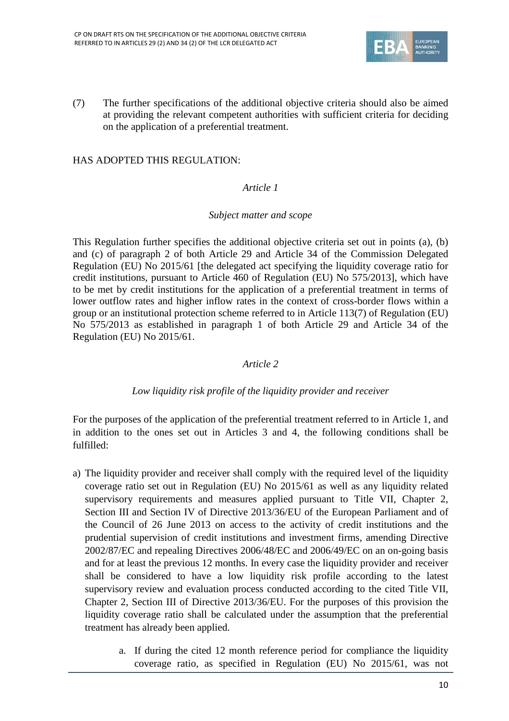

(7) The further specifications of the additional objective criteria should also be aimed at providing the relevant competent authorities with sufficient criteria for deciding on the application of a preferential treatment.

### HAS ADOPTED THIS REGULATION:

### *Article 1*

#### *Subject matter and scope*

This Regulation further specifies the additional objective criteria set out in points (a), (b) and (c) of paragraph 2 of both Article 29 and Article 34 of the Commission Delegated Regulation (EU) No 2015/61 [the delegated act specifying the liquidity coverage ratio for credit institutions, pursuant to Article 460 of Regulation (EU) No 575/2013], which have to be met by credit institutions for the application of a preferential treatment in terms of lower outflow rates and higher inflow rates in the context of cross-border flows within a group or an institutional protection scheme referred to in Article 113(7) of Regulation (EU) No 575/2013 as established in paragraph 1 of both Article 29 and Article 34 of the Regulation (EU) No 2015/61.

#### *Article 2*

#### *Low liquidity risk profile of the liquidity provider and receiver*

For the purposes of the application of the preferential treatment referred to in Article 1, and in addition to the ones set out in Articles 3 and 4, the following conditions shall be fulfilled:

- a) The liquidity provider and receiver shall comply with the required level of the liquidity coverage ratio set out in Regulation (EU) No 2015/61 as well as any liquidity related supervisory requirements and measures applied pursuant to Title VII, Chapter 2, Section III and Section IV of Directive 2013/36/EU of the European Parliament and of the Council of 26 June 2013 on access to the activity of credit institutions and the prudential supervision of credit institutions and investment firms, amending Directive 2002/87/EC and repealing Directives 2006/48/EC and 2006/49/EC on an on-going basis and for at least the previous 12 months. In every case the liquidity provider and receiver shall be considered to have a low liquidity risk profile according to the latest supervisory review and evaluation process conducted according to the cited Title VII, Chapter 2, Section III of Directive 2013/36/EU. For the purposes of this provision the liquidity coverage ratio shall be calculated under the assumption that the preferential treatment has already been applied.
	- a. If during the cited 12 month reference period for compliance the liquidity coverage ratio, as specified in Regulation (EU) No 2015/61, was not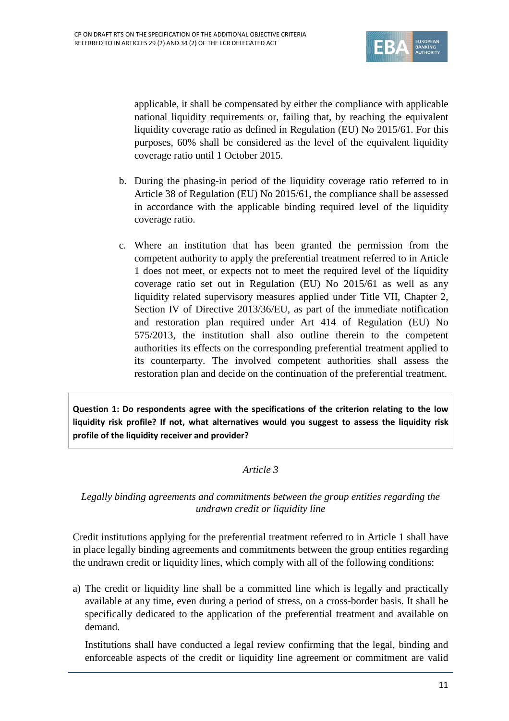

applicable, it shall be compensated by either the compliance with applicable national liquidity requirements or, failing that, by reaching the equivalent liquidity coverage ratio as defined in Regulation (EU) No 2015/61. For this purposes, 60% shall be considered as the level of the equivalent liquidity coverage ratio until 1 October 2015.

- b. During the phasing-in period of the liquidity coverage ratio referred to in Article 38 of Regulation (EU) No 2015/61, the compliance shall be assessed in accordance with the applicable binding required level of the liquidity coverage ratio.
- c. Where an institution that has been granted the permission from the competent authority to apply the preferential treatment referred to in Article 1 does not meet, or expects not to meet the required level of the liquidity coverage ratio set out in Regulation (EU) No 2015/61 as well as any liquidity related supervisory measures applied under Title VII, Chapter 2, Section IV of Directive 2013/36/EU, as part of the immediate notification and restoration plan required under Art 414 of Regulation (EU) No 575/2013, the institution shall also outline therein to the competent authorities its effects on the corresponding preferential treatment applied to its counterparty. The involved competent authorities shall assess the restoration plan and decide on the continuation of the preferential treatment.

**Question 1: Do respondents agree with the specifications of the criterion relating to the low liquidity risk profile? If not, what alternatives would you suggest to assess the liquidity risk profile of the liquidity receiver and provider?**

#### *Article 3*

### *Legally binding agreements and commitments between the group entities regarding the undrawn credit or liquidity line*

Credit institutions applying for the preferential treatment referred to in Article 1 shall have in place legally binding agreements and commitments between the group entities regarding the undrawn credit or liquidity lines, which comply with all of the following conditions:

a) The credit or liquidity line shall be a committed line which is legally and practically available at any time, even during a period of stress, on a cross-border basis. It shall be specifically dedicated to the application of the preferential treatment and available on demand.

Institutions shall have conducted a legal review confirming that the legal, binding and enforceable aspects of the credit or liquidity line agreement or commitment are valid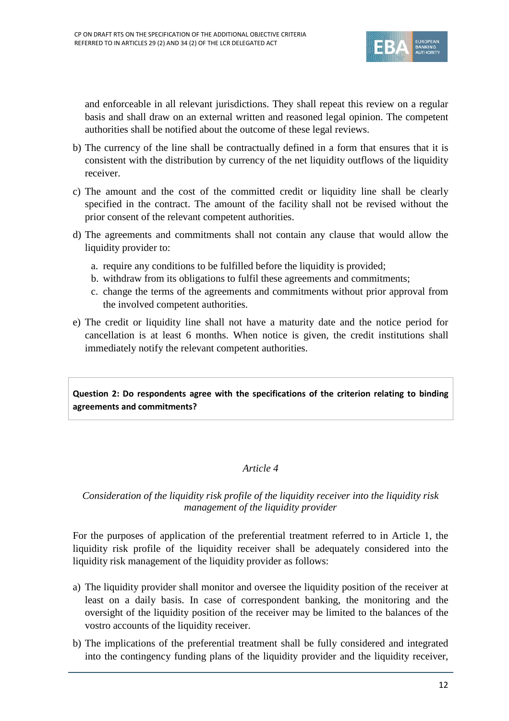

and enforceable in all relevant jurisdictions. They shall repeat this review on a regular basis and shall draw on an external written and reasoned legal opinion. The competent authorities shall be notified about the outcome of these legal reviews.

- b) The currency of the line shall be contractually defined in a form that ensures that it is consistent with the distribution by currency of the net liquidity outflows of the liquidity receiver.
- c) The amount and the cost of the committed credit or liquidity line shall be clearly specified in the contract. The amount of the facility shall not be revised without the prior consent of the relevant competent authorities.
- d) The agreements and commitments shall not contain any clause that would allow the liquidity provider to:
	- a. require any conditions to be fulfilled before the liquidity is provided;
	- b. withdraw from its obligations to fulfil these agreements and commitments;
	- c. change the terms of the agreements and commitments without prior approval from the involved competent authorities.
- e) The credit or liquidity line shall not have a maturity date and the notice period for cancellation is at least 6 months. When notice is given, the credit institutions shall immediately notify the relevant competent authorities.

**Question 2: Do respondents agree with the specifications of the criterion relating to binding agreements and commitments?**

## *Article 4*

### *Consideration of the liquidity risk profile of the liquidity receiver into the liquidity risk management of the liquidity provider*

For the purposes of application of the preferential treatment referred to in Article 1, the liquidity risk profile of the liquidity receiver shall be adequately considered into the liquidity risk management of the liquidity provider as follows:

- a) The liquidity provider shall monitor and oversee the liquidity position of the receiver at least on a daily basis. In case of correspondent banking, the monitoring and the oversight of the liquidity position of the receiver may be limited to the balances of the vostro accounts of the liquidity receiver.
- b) The implications of the preferential treatment shall be fully considered and integrated into the contingency funding plans of the liquidity provider and the liquidity receiver,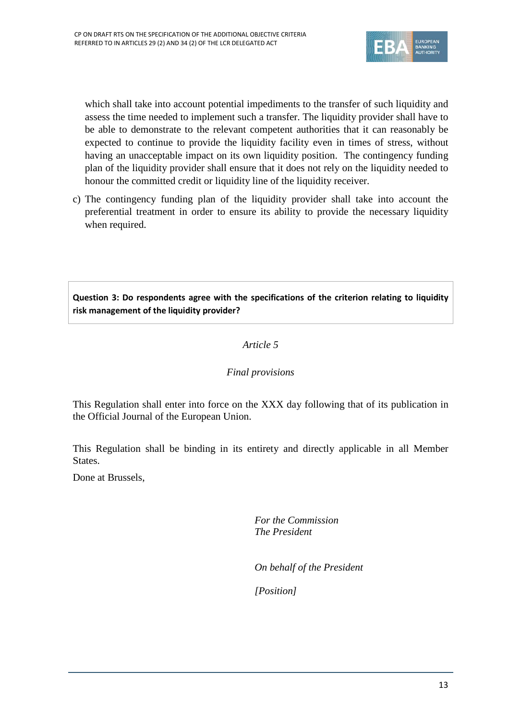

which shall take into account potential impediments to the transfer of such liquidity and assess the time needed to implement such a transfer. The liquidity provider shall have to be able to demonstrate to the relevant competent authorities that it can reasonably be expected to continue to provide the liquidity facility even in times of stress, without having an unacceptable impact on its own liquidity position. The contingency funding plan of the liquidity provider shall ensure that it does not rely on the liquidity needed to honour the committed credit or liquidity line of the liquidity receiver.

c) The contingency funding plan of the liquidity provider shall take into account the preferential treatment in order to ensure its ability to provide the necessary liquidity when required.

# **Question 3: Do respondents agree with the specifications of the criterion relating to liquidity risk management of the liquidity provider?**

## *Article 5*

## *Final provisions*

This Regulation shall enter into force on the XXX day following that of its publication in the Official Journal of the European Union.

This Regulation shall be binding in its entirety and directly applicable in all Member States.

Done at Brussels,

*For the Commission The President*

*On behalf of the President*

*[Position]*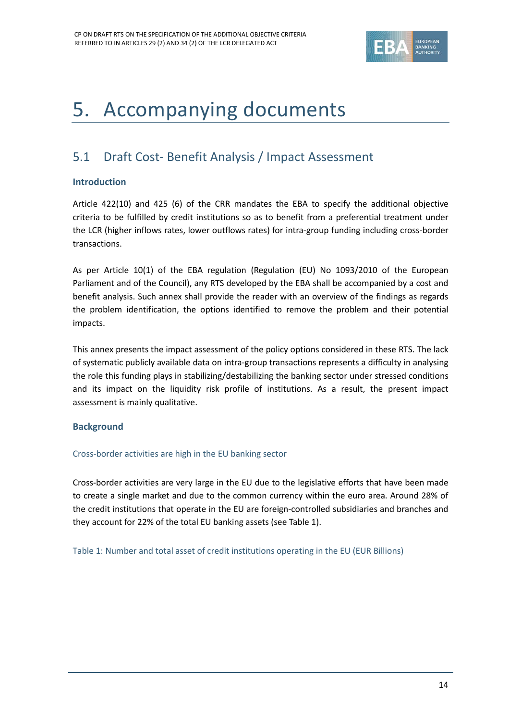

# <span id="page-13-0"></span>5. Accompanying documents

# <span id="page-13-1"></span>5.1 Draft Cost- Benefit Analysis / Impact Assessment

#### **Introduction**

Article 422(10) and 425 (6) of the CRR mandates the EBA to specify the additional objective criteria to be fulfilled by credit institutions so as to benefit from a preferential treatment under the LCR (higher inflows rates, lower outflows rates) for intra-group funding including cross-border transactions.

As per Article 10(1) of the EBA regulation (Regulation (EU) No 1093/2010 of the European Parliament and of the Council), any RTS developed by the EBA shall be accompanied by a cost and benefit analysis. Such annex shall provide the reader with an overview of the findings as regards the problem identification, the options identified to remove the problem and their potential impacts.

This annex presents the impact assessment of the policy options considered in these RTS. The lack of systematic publicly available data on intra-group transactions represents a difficulty in analysing the role this funding plays in stabilizing/destabilizing the banking sector under stressed conditions and its impact on the liquidity risk profile of institutions. As a result, the present impact assessment is mainly qualitative.

#### **Background**

#### Cross-border activities are high in the EU banking sector

Cross-border activities are very large in the EU due to the legislative efforts that have been made to create a single market and due to the common currency within the euro area. Around 28% of the credit institutions that operate in the EU are foreign-controlled subsidiaries and branches and they account for 22% of the total EU banking assets (see Table 1).

Table 1: Number and total asset of credit institutions operating in the EU (EUR Billions)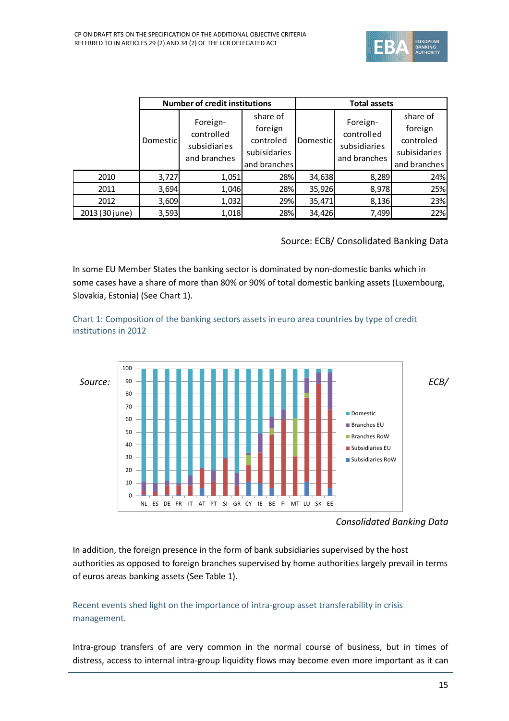

|                | <b>Number of credit institutions</b> |                                                        |                                                                  | <b>Total assets</b> |                                                        |                                                                  |
|----------------|--------------------------------------|--------------------------------------------------------|------------------------------------------------------------------|---------------------|--------------------------------------------------------|------------------------------------------------------------------|
|                | Domesticl                            | Foreign-<br>controlled<br>subsidiaries<br>and branches | share of<br>foreign<br>controled<br>subisidaries<br>and branches | Domestic            | Foreign-<br>controlled<br>subsidiaries<br>and branches | share of<br>foreign<br>controled<br>subisidaries<br>and branches |
| 2010           | 3,727                                | 1,051                                                  | 28%                                                              | 34,638              | 8,289                                                  | 24%                                                              |
| 2011           | 3,694                                | 1,046                                                  | 28%                                                              | 35,926              | 8,978                                                  | 25%                                                              |
| 2012           | 3,609                                | 1,032                                                  | 29%                                                              | 35,471              | 8,136                                                  | 23%                                                              |
| 2013 (30 june) | 3,593                                | 1,018                                                  | 28%                                                              | 34,426              | 7,499                                                  | 22%                                                              |

Source: ECB/ Consolidated Banking Data

In some EU Member States the banking sector is dominated by non-domestic banks which in some cases have a share of more than 80% or 90% of total domestic banking assets (Luxembourg, Slovakia, Estonia) (See Chart 1).

Chart 1: Composition of the banking sectors assets in euro area countries by type of credit institutions in 2012



*Consolidated Banking Data*

In addition, the foreign presence in the form of bank subsidiaries supervised by the host authorities as opposed to foreign branches supervised by home authorities largely prevail in terms of euros areas banking assets (See Table 1).

## Recent events shed light on the importance of intra-group asset transferability in crisis management.

Intra-group transfers of are very common in the normal course of business, but in times of distress, access to internal intra-group liquidity flows may become even more important as it can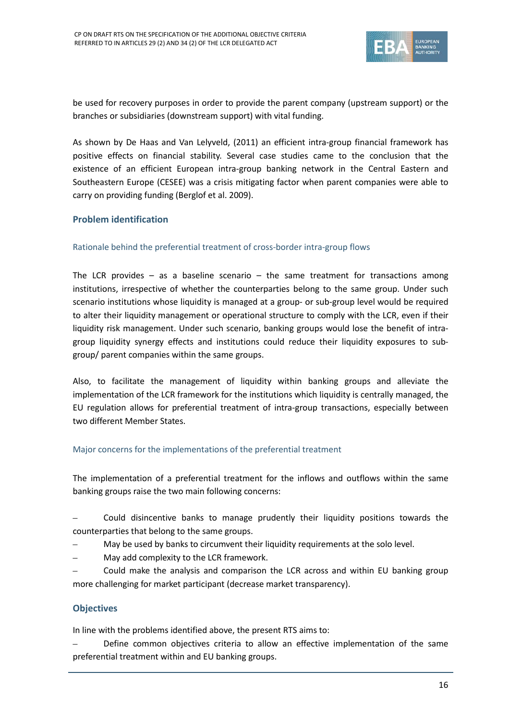

be used for recovery purposes in order to provide the parent company (upstream support) or the branches or subsidiaries (downstream support) with vital funding.

As shown by De Haas and Van Lelyveld, (2011) an efficient intra-group financial framework has positive effects on financial stability. Several case studies came to the conclusion that the existence of an efficient European intra-group banking network in the Central Eastern and Southeastern Europe (CESEE) was a crisis mitigating factor when parent companies were able to carry on providing funding (Berglof et al. 2009).

#### **Problem identification**

#### Rationale behind the preferential treatment of cross-border intra-group flows

The LCR provides – as a baseline scenario – the same treatment for transactions among institutions, irrespective of whether the counterparties belong to the same group. Under such scenario institutions whose liquidity is managed at a group- or sub-group level would be required to alter their liquidity management or operational structure to comply with the LCR, even if their liquidity risk management. Under such scenario, banking groups would lose the benefit of intragroup liquidity synergy effects and institutions could reduce their liquidity exposures to subgroup/ parent companies within the same groups.

Also, to facilitate the management of liquidity within banking groups and alleviate the implementation of the LCR framework for the institutions which liquidity is centrally managed, the EU regulation allows for preferential treatment of intra-group transactions, especially between two different Member States.

#### Major concerns for the implementations of the preferential treatment

The implementation of a preferential treatment for the inflows and outflows within the same banking groups raise the two main following concerns:

- Could disincentive banks to manage prudently their liquidity positions towards the counterparties that belong to the same groups.
- May be used by banks to circumvent their liquidity requirements at the solo level.
- May add complexity to the LCR framework.
- Could make the analysis and comparison the LCR across and within EU banking group more challenging for market participant (decrease market transparency).

#### **Objectives**

In line with the problems identified above, the present RTS aims to:

– Define common objectives criteria to allow an effective implementation of the same preferential treatment within and EU banking groups.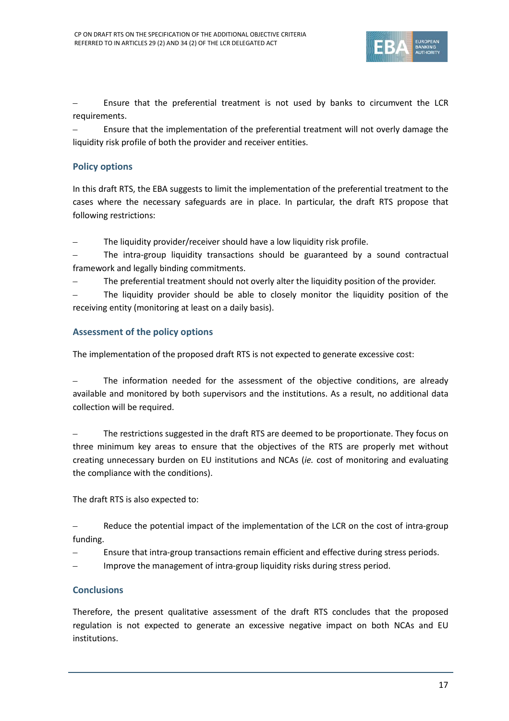

– Ensure that the preferential treatment is not used by banks to circumvent the LCR requirements.

– Ensure that the implementation of the preferential treatment will not overly damage the liquidity risk profile of both the provider and receiver entities.

#### **Policy options**

In this draft RTS, the EBA suggests to limit the implementation of the preferential treatment to the cases where the necessary safeguards are in place. In particular, the draft RTS propose that following restrictions:

The liquidity provider/receiver should have a low liquidity risk profile.

– The intra-group liquidity transactions should be guaranteed by a sound contractual framework and legally binding commitments.

The preferential treatment should not overly alter the liquidity position of the provider.

– The liquidity provider should be able to closely monitor the liquidity position of the receiving entity (monitoring at least on a daily basis).

#### **Assessment of the policy options**

The implementation of the proposed draft RTS is not expected to generate excessive cost:

The information needed for the assessment of the objective conditions, are already available and monitored by both supervisors and the institutions. As a result, no additional data collection will be required.

– The restrictions suggested in the draft RTS are deemed to be proportionate. They focus on three minimum key areas to ensure that the objectives of the RTS are properly met without creating unnecessary burden on EU institutions and NCAs (*ie.* cost of monitoring and evaluating the compliance with the conditions).

The draft RTS is also expected to:

Reduce the potential impact of the implementation of the LCR on the cost of intra-group funding.

– Ensure that intra-group transactions remain efficient and effective during stress periods.

– Improve the management of intra-group liquidity risks during stress period.

#### **Conclusions**

Therefore, the present qualitative assessment of the draft RTS concludes that the proposed regulation is not expected to generate an excessive negative impact on both NCAs and EU institutions.